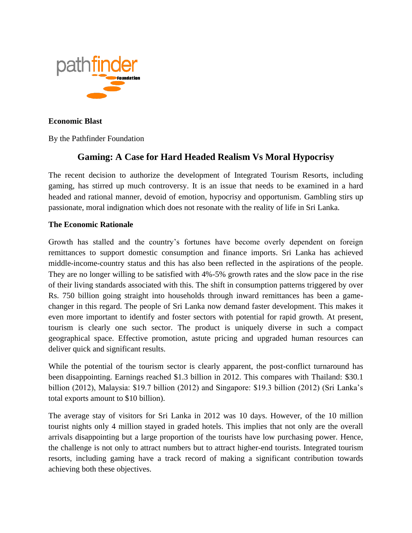

**Economic Blast** 

By the Pathfinder Foundation

## **Gaming: A Case for Hard Headed Realism Vs Moral Hypocrisy**

The recent decision to authorize the development of Integrated Tourism Resorts, including gaming, has stirred up much controversy. It is an issue that needs to be examined in a hard headed and rational manner, devoid of emotion, hypocrisy and opportunism. Gambling stirs up passionate, moral indignation which does not resonate with the reality of life in Sri Lanka.

## **The Economic Rationale**

Growth has stalled and the country's fortunes have become overly dependent on foreign remittances to support domestic consumption and finance imports. Sri Lanka has achieved middle-income-country status and this has also been reflected in the aspirations of the people. They are no longer willing to be satisfied with 4%-5% growth rates and the slow pace in the rise of their living standards associated with this. The shift in consumption patterns triggered by over Rs. 750 billion going straight into households through inward remittances has been a gamechanger in this regard. The people of Sri Lanka now demand faster development. This makes it even more important to identify and foster sectors with potential for rapid growth. At present, tourism is clearly one such sector. The product is uniquely diverse in such a compact geographical space. Effective promotion, astute pricing and upgraded human resources can deliver quick and significant results.

While the potential of the tourism sector is clearly apparent, the post-conflict turnaround has been disappointing. Earnings reached \$1.3 billion in 2012. This compares with Thailand: \$30.1 billion (2012), Malaysia: \$19.7 billion (2012) and Singapore: \$19.3 billion (2012) (Sri Lanka's total exports amount to \$10 billion).

The average stay of visitors for Sri Lanka in 2012 was 10 days. However, of the 10 million tourist nights only 4 million stayed in graded hotels. This implies that not only are the overall arrivals disappointing but a large proportion of the tourists have low purchasing power. Hence, the challenge is not only to attract numbers but to attract higher-end tourists. Integrated tourism resorts, including gaming have a track record of making a significant contribution towards achieving both these objectives.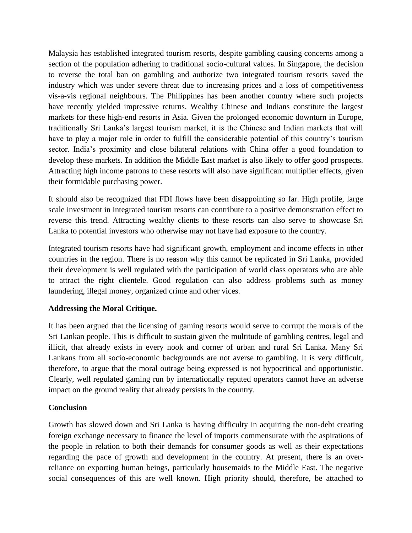Malaysia has established integrated tourism resorts, despite gambling causing concerns among a section of the population adhering to traditional socio-cultural values. In Singapore, the decision to reverse the total ban on gambling and authorize two integrated tourism resorts saved the industry which was under severe threat due to increasing prices and a loss of competitiveness vis-a-vis regional neighbours. The Philippines has been another country where such projects have recently yielded impressive returns. Wealthy Chinese and Indians constitute the largest markets for these high-end resorts in Asia. Given the prolonged economic downturn in Europe, traditionally Sri Lanka's largest tourism market, it is the Chinese and Indian markets that will have to play a major role in order to fulfill the considerable potential of this country's tourism sector. India's proximity and close bilateral relations with China offer a good foundation to develop these markets. **I**n addition the Middle East market is also likely to offer good prospects. Attracting high income patrons to these resorts will also have significant multiplier effects, given their formidable purchasing power.

It should also be recognized that FDI flows have been disappointing so far. High profile, large scale investment in integrated tourism resorts can contribute to a positive demonstration effect to reverse this trend. Attracting wealthy clients to these resorts can also serve to showcase Sri Lanka to potential investors who otherwise may not have had exposure to the country.

Integrated tourism resorts have had significant growth, employment and income effects in other countries in the region. There is no reason why this cannot be replicated in Sri Lanka, provided their development is well regulated with the participation of world class operators who are able to attract the right clientele. Good regulation can also address problems such as money laundering, illegal money, organized crime and other vices.

## **Addressing the Moral Critique.**

It has been argued that the licensing of gaming resorts would serve to corrupt the morals of the Sri Lankan people. This is difficult to sustain given the multitude of gambling centres, legal and illicit, that already exists in every nook and corner of urban and rural Sri Lanka. Many Sri Lankans from all socio-economic backgrounds are not averse to gambling. It is very difficult, therefore, to argue that the moral outrage being expressed is not hypocritical and opportunistic. Clearly, well regulated gaming run by internationally reputed operators cannot have an adverse impact on the ground reality that already persists in the country.

## **Conclusion**

Growth has slowed down and Sri Lanka is having difficulty in acquiring the non-debt creating foreign exchange necessary to finance the level of imports commensurate with the aspirations of the people in relation to both their demands for consumer goods as well as their expectations regarding the pace of growth and development in the country. At present, there is an overreliance on exporting human beings, particularly housemaids to the Middle East. The negative social consequences of this are well known. High priority should, therefore, be attached to